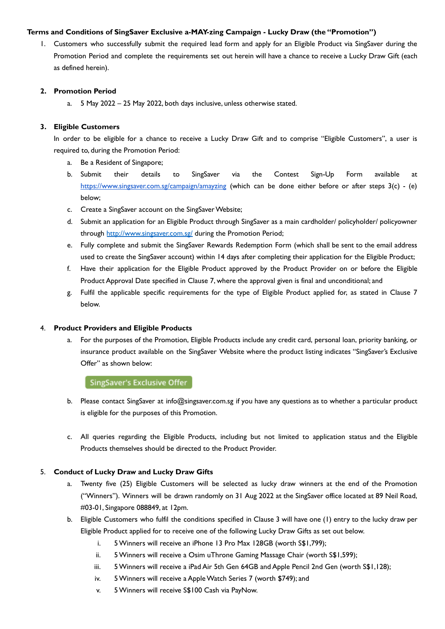## **Terms and Conditions of SingSaver Exclusive a-MAY-zing Campaign - Lucky Draw (the "Promotion")**

1. Customers who successfully submit the required lead form and apply for an Eligible Product via SingSaver during the Promotion Period and complete the requirements set out herein will have a chance to receive a Lucky Draw Gift (each as defined herein).

## **2. Promotion Period**

a. 5 May 2022 – 25 May 2022, both days inclusive, unless otherwise stated.

# **3. Eligible Customers**

In order to be eligible for a chance to receive a Lucky Draw Gift and to comprise "Eligible Customers", a user is required to, during the Promotion Period:

- a. Be a Resident of Singapore;
- b. Submit their details to SingSaver via the Contest Sign-Up Form available at [https://www.singsaver.com.sg/campaign/amayzing](https://promotions.singsaver.com.sg/amayzing) (which can be done either before or after steps 3(c) - (e) below;
- c. Create a SingSaver account on the SingSaverWebsite;
- d. Submit an application for an Eligible Product through SingSaver as a main cardholder/ policyholder/ policyowner through <http://www.singsaver.com.sg/> during the Promotion Period;
- e. Fully complete and submit the SingSaver Rewards Redemption Form (which shall be sent to the email address used to create the SingSaver account) within 14 days after completing their application for the Eligible Product;
- f. Have their application for the Eligible Product approved by the Product Provider on or before the Eligible Product Approval Date specified in Clause 7, where the approval given is final and unconditional; and
- g. Fulfil the applicable specific requirements for the type of Eligible Product applied for, as stated in Clause 7 below.

## 4. **Product Providers and Eligible Products**

a. For the purposes of the Promotion, Eligible Products include any credit card, personal loan, priority banking, or insurance product available on the SingSaver Website where the product listing indicates "SingSaver's Exclusive Offer" as shown below:

## **SingSaver's Exclusive Offer**

- b. Please contact SingSaver at info@singsaver.com.sg if you have any questions as to whether a particular product is eligible for the purposes of this Promotion.
- c. All queries regarding the Eligible Products, including but not limited to application status and the Eligible Products themselves should be directed to the Product Provider.

## 5. **Conduct of Lucky Draw and Lucky Draw Gifts**

- a. Twenty five (25) Eligible Customers will be selected as lucky draw winners at the end of the Promotion ("Winners"). Winners will be drawn randomly on 31 Aug 2022 at the SingSaver office located at 89 Neil Road, #03-01, Singapore 088849, at 12pm.
- b. Eligible Customers who fulfil the conditions specified in Clause 3 will have one (1) entry to the lucky draw per Eligible Product applied for to receive one of the following Lucky Draw Gifts as set out below.
	- i. 5Winners will receive an iPhone 13 Pro Max 128GB (worth S\$1,799);
	- ii. 5 Winners will receive a Osim uThrone Gaming Massage Chair (worth S\$1,599);
	- iii. 5 Winners will receive a iPad Air 5th Gen 64GB and Apple Pencil 2nd Gen (worth S\$1,128);
	- iv. 5Winners will receive a AppleWatch Series 7 (worth \$749); and
	- v. 5Winners will receive S\$100 Cash via PayNow.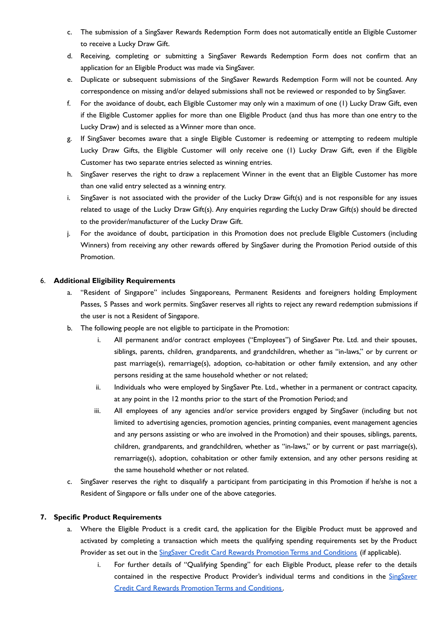- c. The submission of a SingSaver Rewards Redemption Form does not automatically entitle an Eligible Customer to receive a Lucky Draw Gift.
- d. Receiving, completing or submitting a SingSaver Rewards Redemption Form does not confirm that an application for an Eligible Product was made via SingSaver.
- e. Duplicate or subsequent submissions of the SingSaver Rewards Redemption Form will not be counted. Any correspondence on missing and/or delayed submissions shall not be reviewed or responded to by SingSaver.
- f. For the avoidance of doubt, each Eligible Customer may only win a maximum of one (1) Lucky Draw Gift, even if the Eligible Customer applies for more than one Eligible Product (and thus has more than one entry to the Lucky Draw) and is selected as aWinner more than once.
- g. If SingSaver becomes aware that a single Eligible Customer is redeeming or attempting to redeem multiple Lucky Draw Gifts, the Eligible Customer will only receive one (1) Lucky Draw Gift, even if the Eligible Customer has two separate entries selected as winning entries.
- h. SingSaver reserves the right to draw a replacement Winner in the event that an Eligible Customer has more than one valid entry selected as a winning entry.
- i. SingSaver is not associated with the provider of the Lucky Draw Gift(s) and is not responsible for any issues related to usage of the Lucky Draw Gift(s). Any enquiries regarding the Lucky Draw Gift(s) should be directed to the provider/manufacturer of the Lucky Draw Gift.
- j. For the avoidance of doubt, participation in this Promotion does not preclude Eligible Customers (including Winners) from receiving any other rewards offered by SingSaver during the Promotion Period outside of this Promotion.

#### 6. **Additional Eligibility Requirements**

- a. "Resident of Singapore" includes Singaporeans, Permanent Residents and foreigners holding Employment Passes, S Passes and work permits. SingSaver reserves all rights to reject any reward redemption submissions if the user is not a Resident of Singapore.
- b. The following people are not eligible to participate in the Promotion:
	- i. All permanent and/or contract employees ("Employees") of SingSaver Pte. Ltd. and their spouses, siblings, parents, children, grandparents, and grandchildren, whether as "in-laws," or by current or past marriage(s), remarriage(s), adoption, co-habitation or other family extension, and any other persons residing at the same household whether or not related;
	- ii. Individuals who were employed by SingSaver Pte. Ltd., whether in a permanent or contract capacity, at any point in the 12 months prior to the start of the Promotion Period; and
	- iii. All employees of any agencies and/or service providers engaged by SingSaver (including but not limited to advertising agencies, promotion agencies, printing companies, event management agencies and any persons assisting or who are involved in the Promotion) and their spouses, siblings, parents, children, grandparents, and grandchildren, whether as "in-laws," or by current or past marriage(s), remarriage(s), adoption, cohabitation or other family extension, and any other persons residing at the same household whether or not related.
- c. SingSaver reserves the right to disqualify a participant from participating in this Promotion if he/she is not a Resident of Singapore or falls under one of the above categories.

## **7. Specific Product Requirements**

- a. Where the Eligible Product is a credit card, the application for the Eligible Product must be approved and activated by completing a transaction which meets the qualifying spending requirements set by the Product Provider as set out in the SingSaver Credit Card Rewards Promotion Terms and [Conditions](https://singsaver.link/cc-rewards-campaign) (if applicable).
	- i. For further details of "Qualifying Spending" for each Eligible Product, please refer to the details contained in the respective Product Provider's individual terms and conditions in the [SingSaver](https://singsaver.link/cc-rewards-campaign) Credit Card Rewards Promotion Terms and [Conditions.](https://singsaver.link/cc-rewards-campaign)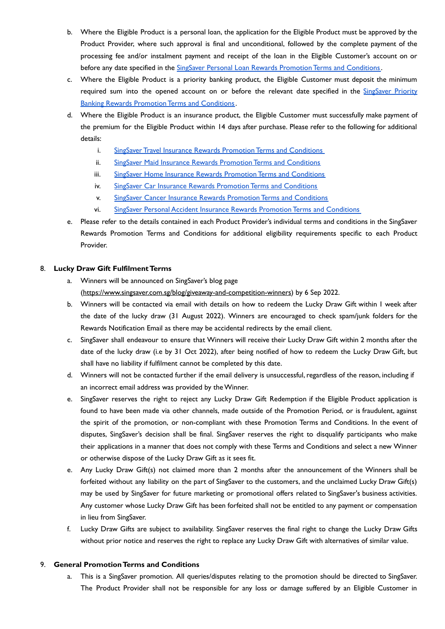- b. Where the Eligible Product is a personal loan, the application for the Eligible Product must be approved by the Product Provider, where such approval is final and unconditional, followed by the complete payment of the processing fee and/or instalment payment and receipt of the loan in the Eligible Customer's account on or before any date specified in the SingSaver Personal Loan Rewards Promotion Terms and [Conditions](https://singsaver.link/pl-rewards-campaign).
- c. Where the Eligible Product is a priority banking product, the Eligible Customer must deposit the minimum required sum into the opened account on or before the relevant date specified in the [SingSaver](https://singsaver.link/priority-rewards-campaign) Priority Banking Rewards Promotion Terms and [Conditions](https://singsaver.link/priority-rewards-campaign).
- d. Where the Eligible Product is an insurance product, the Eligible Customer must successfully make payment of the premium for the Eligible Product within 14 days after purchase. Please refer to the following for additional details:
	- i. SingSaver Travel Insurance Rewards Promotion Terms and [Conditions](https://singsaver.link/ti-rewards-campaign)
	- ii. SingSaver Maid Insurance Rewards Promotion Terms and [Conditions](https://singsaver.link/mi-rewards-camapign)
	- iii. SingSaver Home Insurance Rewards Promotion Terms and [Conditions](https://singsaver.link/hi-rewards-campaign)
	- iv. SingSaver Car Insurance Rewards Promotion Terms and [Conditions](https://singsaver.link/car-insurance-rewards-campaign)
	- v. SingSaver Cancer Insurance Rewards Promotion Terms and [Conditions](https://singsaver.link/cancer-insurance-rewards-campaign)
	- vi. SingSaver Personal Accident Insurance Rewards Promotion Terms and [Conditions](https://singsaver.link/pa-rewards-campaign)
- e. Please refer to the details contained in each Product Provider's individual terms and conditions in the SingSaver Rewards Promotion Terms and Conditions for additional eligibility requirements specific to each Product Provider.

#### 8. **Lucky Draw Gift FulfilmentTerms**

- a. Winners will be announced on SingSaver's blog page [\(https://www.singsaver.com.sg/blog/giveaway-and-competition-winners](https://www.singsaver.com.sg/blog/giveaway-and-competition-winners)) by 6 Sep 2022.
- b. Winners will be contacted via email with details on how to redeem the Lucky Draw Gift within 1 week after the date of the lucky draw (31 August 2022). Winners are encouraged to check spam/junk folders for the Rewards Notification Email as there may be accidental redirects by the email client.
- c. SingSaver shall endeavour to ensure that Winners will receive their Lucky Draw Gift within 2 months after the date of the lucky draw (i.e by 31 Oct 2022), after being notified of how to redeem the Lucky Draw Gift, but shall have no liability if fulfilment cannot be completed by this date.
- d. Winners will not be contacted further if the email delivery is unsuccessful, regardless of the reason, including if an incorrect email address was provided by theWinner.
- e. SingSaver reserves the right to reject any Lucky Draw Gift Redemption if the Eligible Product application is found to have been made via other channels, made outside of the Promotion Period, or is fraudulent, against the spirit of the promotion, or non-compliant with these Promotion Terms and Conditions. In the event of disputes, SingSaver's decision shall be final. SingSaver reserves the right to disqualify participants who make their applications in a manner that does not comply with these Terms and Conditions and select a new Winner or otherwise dispose of the Lucky Draw Gift as it sees fit.
- e. Any Lucky Draw Gift(s) not claimed more than 2 months after the announcement of the Winners shall be forfeited without any liability on the part of SingSaver to the customers, and the unclaimed Lucky Draw Gift(s) may be used by SingSaver for future marketing or promotional offers related to SingSaver's business activities. Any customer whose Lucky Draw Gift has been forfeited shall not be entitled to any payment or compensation in lieu from SingSaver.
- f. Lucky Draw Gifts are subject to availability. SingSaver reserves the final right to change the Lucky Draw Gifts without prior notice and reserves the right to replace any Lucky Draw Gift with alternatives of similar value.

#### 9. **General PromotionTerms and Conditions**

a. This is a SingSaver promotion. All queries/disputes relating to the promotion should be directed to SingSaver. The Product Provider shall not be responsible for any loss or damage suffered by an Eligible Customer in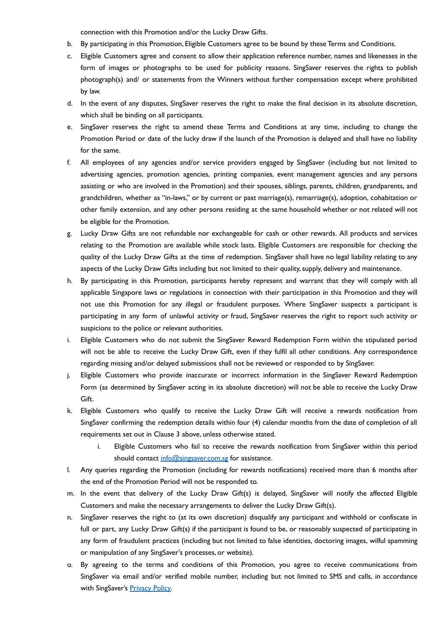connection with this Promotion and/or the Lucky Draw Gifts.

- b. By participating in this Promotion, Eligible Customers agree to be bound by these Terms and Conditions.
- c. Eligible Customers agree and consent to allow their application reference number, names and likenesses in the form of images or photographs to be used for publicity reasons. SingSaver reserves the rights to publish photograph(s) and/ or statements from the Winners without further compensation except where prohibited by law.
- d. In the event of any disputes, SingSaver reserves the right to make the final decision in its absolute discretion, which shall be binding on all participants.
- e. SingSaver reserves the right to amend these Terms and Conditions at any time, including to change the Promotion Period or date of the lucky draw if the launch of the Promotion is delayed and shall have no liability for the same.
- f. All employees of any agencies and/or service providers engaged by SingSaver (including but not limited to advertising agencies, promotion agencies, printing companies, event management agencies and any persons assisting or who are involved in the Promotion) and their spouses, siblings, parents, children, grandparents, and grandchildren, whether as "in-laws," or by current or past marriage(s), remarriage(s), adoption, cohabitation or other family extension, and any other persons residing at the same household whether or not related will not be eligible for the Promotion.
- g. Lucky Draw Gifts are not refundable nor exchangeable for cash or other rewards. All products and services relating to the Promotion are available while stock lasts. Eligible Customers are responsible for checking the quality of the Lucky Draw Gifts at the time of redemption. SingSaver shall have no legal liability relating to any aspects of the Lucky Draw Gifts including but not limited to their quality, supply, delivery and maintenance.
- h. By participating in this Promotion, participants hereby represent and warrant that they will comply with all applicable Singapore laws or regulations in connection with their participation in this Promotion and they will not use this Promotion for any illegal or fraudulent purposes. Where SingSaver suspects a participant is participating in any form of unlawful activity or fraud, SingSaver reserves the right to report such activity or suspicions to the police or relevant authorities.
- i. Eligible Customers who do not submit the SingSaver Reward Redemption Form within the stipulated period will not be able to receive the Lucky Draw Gift, even if they fulfil all other conditions. Any correspondence regarding missing and/or delayed submissions shall not be reviewed or responded to by SingSaver.
- j. Eligible Customers who provide inaccurate or incorrect information in the SingSaver Reward Redemption Form (as determined by SingSaver acting in its absolute discretion) will not be able to receive the Lucky Draw Gift.
- k. Eligible Customers who qualify to receive the Lucky Draw Gift will receive a rewards notification from SingSaver confirming the redemption details within four (4) calendar months from the date of completion of all requirements set out in Clause 3 above, unless otherwise stated.
	- i. Eligible Customers who fail to receive the rewards notification from SingSaver within this period should contact [info@singsaver.com.sg](mailto:info@singsaver.com.sg) for assistance.
- l. Any queries regarding the Promotion (including for rewards notifications) received more than 6 months after the end of the Promotion Period will not be responded to.
- m. In the event that delivery of the Lucky Draw Gift(s) is delayed, SingSaver will notify the affected Eligible Customers and make the necessary arrangements to deliver the Lucky Draw Gift(s).
- n. SingSaver reserves the right to (at its own discretion) disqualify any participant and withhold or confiscate in full or part, any Lucky Draw Gift(s) if the participant is found to be, or reasonably suspected of participating in any form of fraudulent practices (including but not limited to false identities, doctoring images, wilful spamming or manipulation of any SingSaver's processes, or website).
- o. By agreeing to the terms and conditions of this Promotion, you agree to receive communications from SingSaver via email and/or verified mobile number, including but not limited to SMS and calls, in accordance with SingSaver's [Privacy](https://www.singsaver.com.sg/privacy-policy) Policy.